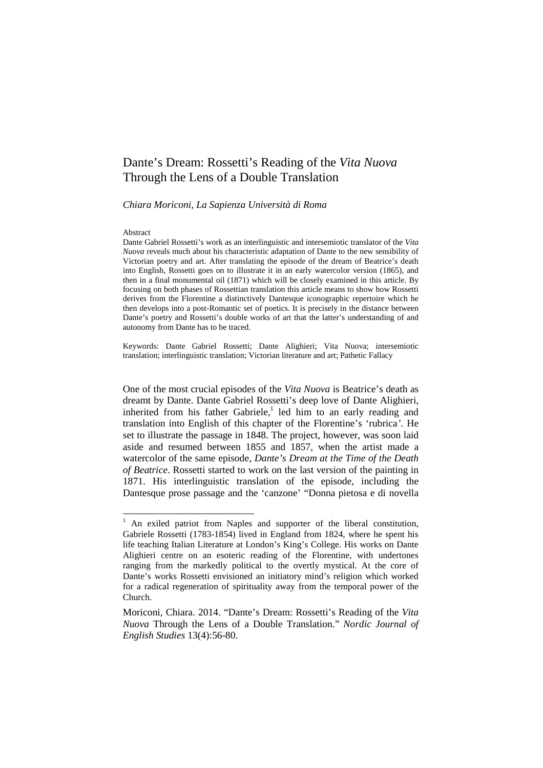# Dante's Dream: Rossetti's Reading of the *Vita Nuova* Through the Lens of a Double Translation

*Chiara Moriconi, La Sapienza Università di Roma* 

#### Abstract

Dante Gabriel Rossetti's work as an interlinguistic and intersemiotic translator of the *Vita Nuova* reveals much about his characteristic adaptation of Dante to the new sensibility of Victorian poetry and art. After translating the episode of the dream of Beatrice's death into English, Rossetti goes on to illustrate it in an early watercolor version (1865), and then in a final monumental oil (1871) which will be closely examined in this article. By focusing on both phases of Rossettian translation this article means to show how Rossetti derives from the Florentine a distinctively Dantesque iconographic repertoire which he then develops into a post-Romantic set of poetics. It is precisely in the distance between Dante's poetry and Rossetti's double works of art that the latter's understanding of and autonomy from Dante has to be traced.

Keywords: Dante Gabriel Rossetti; Dante Alighieri; Vita Nuova; intersemiotic translation; interlinguistic translation; Victorian literature and art; Pathetic Fallacy

One of the most crucial episodes of the *Vita Nuova* is Beatrice's death as dreamt by Dante. Dante Gabriel Rossetti's deep love of Dante Alighieri, inherited from his father Gabriele, $<sup>1</sup>$  led him to an early reading and</sup> translation into English of this chapter of the Florentine's 'rubrica*'*. He set to illustrate the passage in 1848. The project, however, was soon laid aside and resumed between 1855 and 1857, when the artist made a watercolor of the same episode, *Dante's Dream at the Time of the Death of Beatrice*. Rossetti started to work on the last version of the painting in 1871. His interlinguistic translation of the episode, including the Dantesque prose passage and the 'canzone' "Donna pietosa e di novella

<sup>&</sup>lt;sup>1</sup> An exiled patriot from Naples and supporter of the liberal constitution, Gabriele Rossetti (1783-1854) lived in England from 1824, where he spent his life teaching Italian Literature at London's King's College. His works on Dante Alighieri centre on an esoteric reading of the Florentine, with undertones ranging from the markedly political to the overtly mystical. At the core of Dante's works Rossetti envisioned an initiatory mind's religion which worked for a radical regeneration of spirituality away from the temporal power of the Church.

Moriconi, Chiara. 2014. "Dante's Dream: Rossetti's Reading of the *Vita Nuova* Through the Lens of a Double Translation." *Nordic Journal of English Studies* 13(4):56-80.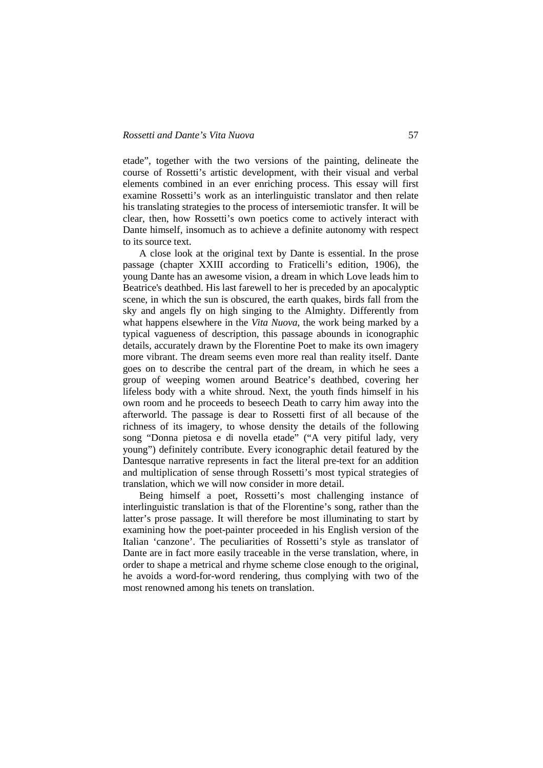etade", together with the two versions of the painting, delineate the course of Rossetti's artistic development, with their visual and verbal elements combined in an ever enriching process. This essay will first examine Rossetti's work as an interlinguistic translator and then relate his translating strategies to the process of intersemiotic transfer. It will be clear, then, how Rossetti's own poetics come to actively interact with Dante himself, insomuch as to achieve a definite autonomy with respect to its source text.

A close look at the original text by Dante is essential. In the prose passage (chapter XXIII according to Fraticelli's edition, 1906), the young Dante has an awesome vision, a dream in which Love leads him to Beatrice's deathbed. His last farewell to her is preceded by an apocalyptic scene, in which the sun is obscured, the earth quakes, birds fall from the sky and angels fly on high singing to the Almighty. Differently from what happens elsewhere in the *Vita Nuova*, the work being marked by a typical vagueness of description, this passage abounds in iconographic details, accurately drawn by the Florentine Poet to make its own imagery more vibrant. The dream seems even more real than reality itself. Dante goes on to describe the central part of the dream, in which he sees a group of weeping women around Beatrice's deathbed, covering her lifeless body with a white shroud. Next, the youth finds himself in his own room and he proceeds to beseech Death to carry him away into the afterworld. The passage is dear to Rossetti first of all because of the richness of its imagery, to whose density the details of the following song "Donna pietosa e di novella etade" ("A very pitiful lady, very young") definitely contribute. Every iconographic detail featured by the Dantesque narrative represents in fact the literal pre-text for an addition and multiplication of sense through Rossetti's most typical strategies of translation, which we will now consider in more detail.

Being himself a poet, Rossetti's most challenging instance of interlinguistic translation is that of the Florentine's song, rather than the latter's prose passage. It will therefore be most illuminating to start by examining how the poet-painter proceeded in his English version of the Italian 'canzone'. The peculiarities of Rossetti's style as translator of Dante are in fact more easily traceable in the verse translation, where, in order to shape a metrical and rhyme scheme close enough to the original, he avoids a word-for-word rendering, thus complying with two of the most renowned among his tenets on translation.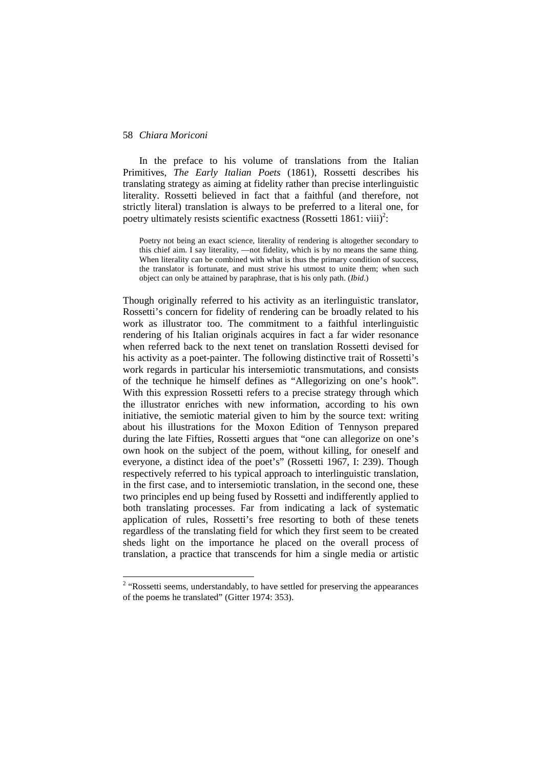In the preface to his volume of translations from the Italian Primitives, *The Early Italian Poets* (1861), Rossetti describes his translating strategy as aiming at fidelity rather than precise interlinguistic literality. Rossetti believed in fact that a faithful (and therefore, not strictly literal) translation is always to be preferred to a literal one, for poetry ultimately resists scientific exactness (Rossetti 1861: viii)<sup>2</sup>:

Poetry not being an exact science, literality of rendering is altogether secondary to this chief aim. I say literality, —not fidelity, which is by no means the same thing. When literality can be combined with what is thus the primary condition of success, the translator is fortunate, and must strive his utmost to unite them; when such object can only be attained by paraphrase, that is his only path. (*Ibid*.)

Though originally referred to his activity as an iterlinguistic translator, Rossetti's concern for fidelity of rendering can be broadly related to his work as illustrator too. The commitment to a faithful interlinguistic rendering of his Italian originals acquires in fact a far wider resonance when referred back to the next tenet on translation Rossetti devised for his activity as a poet-painter. The following distinctive trait of Rossetti's work regards in particular his intersemiotic transmutations, and consists of the technique he himself defines as "Allegorizing on one's hook". With this expression Rossetti refers to a precise strategy through which the illustrator enriches with new information, according to his own initiative, the semiotic material given to him by the source text: writing about his illustrations for the Moxon Edition of Tennyson prepared during the late Fifties, Rossetti argues that "one can allegorize on one's own hook on the subject of the poem, without killing, for oneself and everyone, a distinct idea of the poet's" (Rossetti 1967, I: 239). Though respectively referred to his typical approach to interlinguistic translation, in the first case, and to intersemiotic translation, in the second one, these two principles end up being fused by Rossetti and indifferently applied to both translating processes. Far from indicating a lack of systematic application of rules, Rossetti's free resorting to both of these tenets regardless of the translating field for which they first seem to be created sheds light on the importance he placed on the overall process of translation, a practice that transcends for him a single media or artistic

<sup>&</sup>lt;sup>2</sup> "Rossetti seems, understandably, to have settled for preserving the appearances of the poems he translated" (Gitter 1974: 353).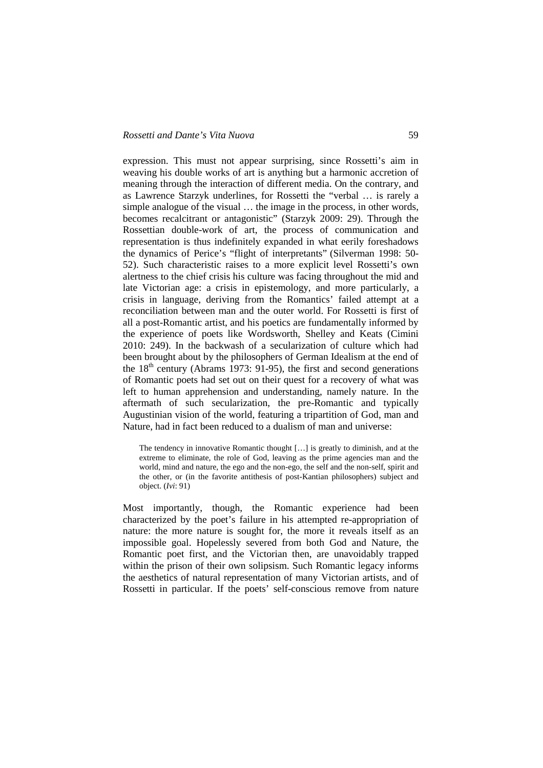expression. This must not appear surprising, since Rossetti's aim in weaving his double works of art is anything but a harmonic accretion of meaning through the interaction of different media. On the contrary, and as Lawrence Starzyk underlines, for Rossetti the "verbal … is rarely a simple analogue of the visual … the image in the process, in other words, becomes recalcitrant or antagonistic" (Starzyk 2009: 29). Through the Rossettian double-work of art, the process of communication and representation is thus indefinitely expanded in what eerily foreshadows the dynamics of Perice's "flight of interpretants" (Silverman 1998: 50- 52). Such characteristic raises to a more explicit level Rossetti's own alertness to the chief crisis his culture was facing throughout the mid and late Victorian age: a crisis in epistemology, and more particularly, a crisis in language, deriving from the Romantics' failed attempt at a reconciliation between man and the outer world. For Rossetti is first of all a post-Romantic artist, and his poetics are fundamentally informed by the experience of poets like Wordsworth, Shelley and Keats (Cimini 2010: 249). In the backwash of a secularization of culture which had been brought about by the philosophers of German Idealism at the end of the  $18<sup>th</sup>$  century (Abrams 1973: 91-95), the first and second generations of Romantic poets had set out on their quest for a recovery of what was left to human apprehension and understanding, namely nature. In the aftermath of such secularization, the pre-Romantic and typically Augustinian vision of the world, featuring a tripartition of God, man and Nature, had in fact been reduced to a dualism of man and universe:

The tendency in innovative Romantic thought […] is greatly to diminish, and at the extreme to eliminate, the role of God, leaving as the prime agencies man and the world, mind and nature, the ego and the non-ego, the self and the non-self, spirit and the other, or (in the favorite antithesis of post-Kantian philosophers) subject and object. (*Ivi*: 91)

Most importantly, though, the Romantic experience had been characterized by the poet's failure in his attempted re-appropriation of nature: the more nature is sought for, the more it reveals itself as an impossible goal. Hopelessly severed from both God and Nature, the Romantic poet first, and the Victorian then, are unavoidably trapped within the prison of their own solipsism. Such Romantic legacy informs the aesthetics of natural representation of many Victorian artists, and of Rossetti in particular. If the poets' self-conscious remove from nature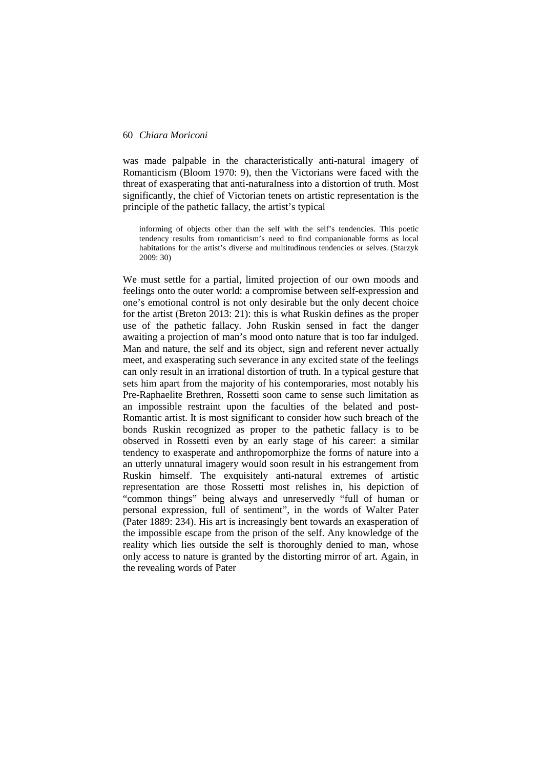was made palpable in the characteristically anti-natural imagery of Romanticism (Bloom 1970: 9), then the Victorians were faced with the threat of exasperating that anti-naturalness into a distortion of truth. Most significantly, the chief of Victorian tenets on artistic representation is the principle of the pathetic fallacy, the artist's typical

informing of objects other than the self with the self's tendencies. This poetic tendency results from romanticism's need to find companionable forms as local habitations for the artist's diverse and multitudinous tendencies or selves. (Starzyk 2009: 30)

We must settle for a partial, limited projection of our own moods and feelings onto the outer world: a compromise between self-expression and one's emotional control is not only desirable but the only decent choice for the artist (Breton 2013: 21): this is what Ruskin defines as the proper use of the pathetic fallacy. John Ruskin sensed in fact the danger awaiting a projection of man's mood onto nature that is too far indulged. Man and nature, the self and its object, sign and referent never actually meet, and exasperating such severance in any excited state of the feelings can only result in an irrational distortion of truth. In a typical gesture that sets him apart from the majority of his contemporaries, most notably his Pre-Raphaelite Brethren, Rossetti soon came to sense such limitation as an impossible restraint upon the faculties of the belated and post-Romantic artist. It is most significant to consider how such breach of the bonds Ruskin recognized as proper to the pathetic fallacy is to be observed in Rossetti even by an early stage of his career: a similar tendency to exasperate and anthropomorphize the forms of nature into a an utterly unnatural imagery would soon result in his estrangement from Ruskin himself. The exquisitely anti-natural extremes of artistic representation are those Rossetti most relishes in, his depiction of "common things" being always and unreservedly "full of human or personal expression, full of sentiment", in the words of Walter Pater (Pater 1889: 234). His art is increasingly bent towards an exasperation of the impossible escape from the prison of the self. Any knowledge of the reality which lies outside the self is thoroughly denied to man, whose only access to nature is granted by the distorting mirror of art. Again, in the revealing words of Pater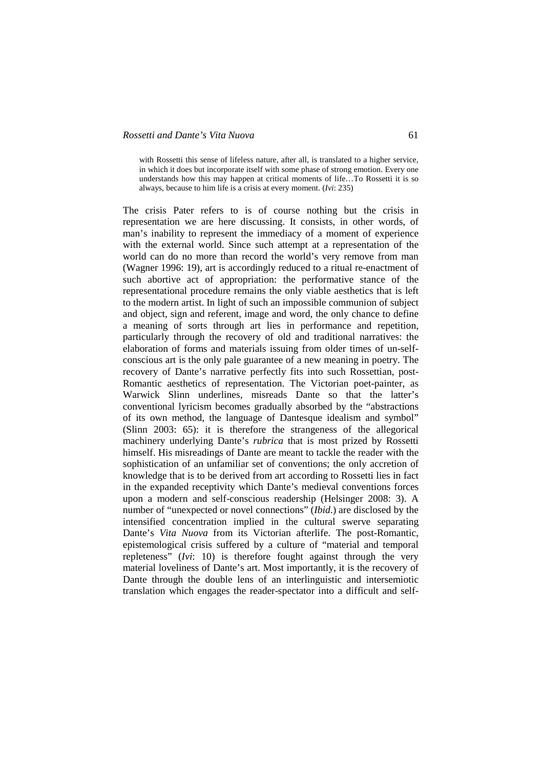with Rossetti this sense of lifeless nature, after all, is translated to a higher service, in which it does but incorporate itself with some phase of strong emotion. Every one understands how this may happen at critical moments of life…To Rossetti it is so always, because to him life is a crisis at every moment. (*Ivi*: 235)

The crisis Pater refers to is of course nothing but the crisis in representation we are here discussing. It consists, in other words, of man's inability to represent the immediacy of a moment of experience with the external world. Since such attempt at a representation of the world can do no more than record the world's very remove from man (Wagner 1996: 19), art is accordingly reduced to a ritual re-enactment of such abortive act of appropriation: the performative stance of the representational procedure remains the only viable aesthetics that is left to the modern artist. In light of such an impossible communion of subject and object, sign and referent, image and word, the only chance to define a meaning of sorts through art lies in performance and repetition, particularly through the recovery of old and traditional narratives: the elaboration of forms and materials issuing from older times of un-selfconscious art is the only pale guarantee of a new meaning in poetry. The recovery of Dante's narrative perfectly fits into such Rossettian, post-Romantic aesthetics of representation. The Victorian poet-painter, as Warwick Slinn underlines, misreads Dante so that the latter's conventional lyricism becomes gradually absorbed by the "abstractions of its own method, the language of Dantesque idealism and symbol" (Slinn 2003: 65): it is therefore the strangeness of the allegorical machinery underlying Dante's *rubrica* that is most prized by Rossetti himself. His misreadings of Dante are meant to tackle the reader with the sophistication of an unfamiliar set of conventions; the only accretion of knowledge that is to be derived from art according to Rossetti lies in fact in the expanded receptivity which Dante's medieval conventions forces upon a modern and self-conscious readership (Helsinger 2008: 3). A number of "unexpected or novel connections" (*Ibid*.) are disclosed by the intensified concentration implied in the cultural swerve separating Dante's *Vita Nuova* from its Victorian afterlife. The post-Romantic, epistemological crisis suffered by a culture of "material and temporal repleteness" (*Ivi*: 10) is therefore fought against through the very material loveliness of Dante's art. Most importantly, it is the recovery of Dante through the double lens of an interlinguistic and intersemiotic translation which engages the reader-spectator into a difficult and self-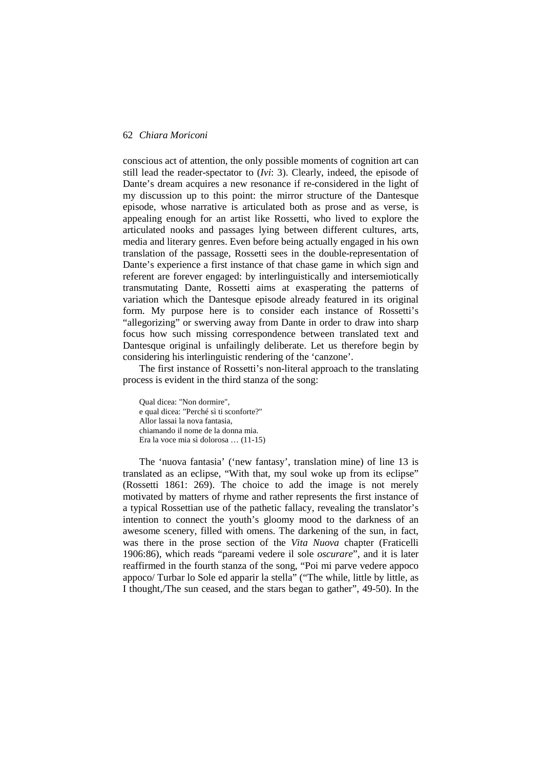conscious act of attention, the only possible moments of cognition art can still lead the reader-spectator to (*Ivi*: 3). Clearly, indeed, the episode of Dante's dream acquires a new resonance if re-considered in the light of my discussion up to this point: the mirror structure of the Dantesque episode, whose narrative is articulated both as prose and as verse, is appealing enough for an artist like Rossetti, who lived to explore the articulated nooks and passages lying between different cultures, arts, media and literary genres. Even before being actually engaged in his own translation of the passage, Rossetti sees in the double-representation of Dante's experience a first instance of that chase game in which sign and referent are forever engaged: by interlinguistically and intersemiotically transmutating Dante, Rossetti aims at exasperating the patterns of variation which the Dantesque episode already featured in its original form. My purpose here is to consider each instance of Rossetti's "allegorizing" or swerving away from Dante in order to draw into sharp focus how such missing correspondence between translated text and Dantesque original is unfailingly deliberate. Let us therefore begin by considering his interlinguistic rendering of the 'canzone'.

The first instance of Rossetti's non-literal approach to the translating process is evident in the third stanza of the song:

Qual dicea: "Non dormire", e qual dicea: "Perché sì ti sconforte?" Allor lassai la nova fantasia, chiamando il nome de la donna mia. Era la voce mia sì dolorosa … (11-15)

The 'nuova fantasia' ('new fantasy', translation mine) of line 13 is translated as an eclipse, "With that, my soul woke up from its eclipse" (Rossetti 1861: 269). The choice to add the image is not merely motivated by matters of rhyme and rather represents the first instance of a typical Rossettian use of the pathetic fallacy, revealing the translator's intention to connect the youth's gloomy mood to the darkness of an awesome scenery, filled with omens. The darkening of the sun, in fact, was there in the prose section of the *Vita Nuova* chapter (Fraticelli 1906:86), which reads "pareami vedere il sole *oscurare*", and it is later reaffirmed in the fourth stanza of the song, "Poi mi parve vedere appoco appoco/ Turbar lo Sole ed apparir la stella" ("The while, little by little, as I thought,/The sun ceased, and the stars began to gather", 49-50). In the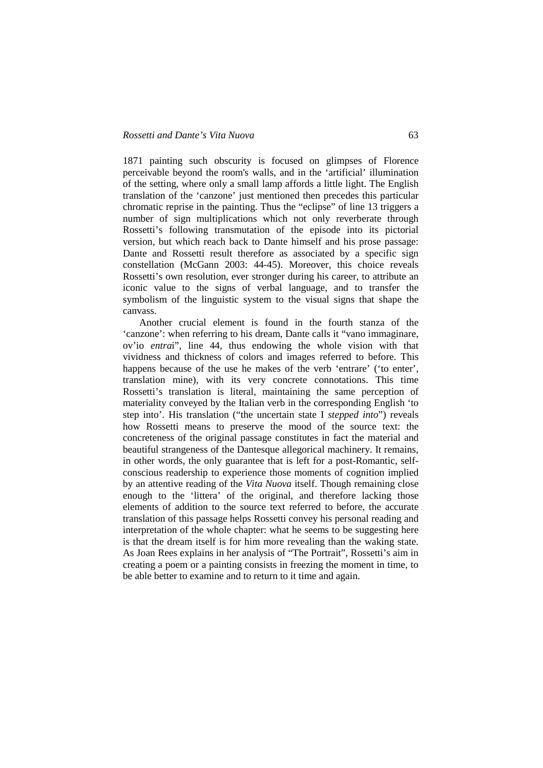1871 painting such obscurity is focused on glimpses of Florence perceivable beyond the room's walls, and in the 'artificial' illumination of the setting, where only a small lamp affords a little light. The English translation of the 'canzone' just mentioned then precedes this particular chromatic reprise in the painting. Thus the "eclipse" of line 13 triggers a number of sign multiplications which not only reverberate through Rossetti's following transmutation of the episode into its pictorial version, but which reach back to Dante himself and his prose passage: Dante and Rossetti result therefore as associated by a specific sign constellation (McGann 2003: 44-45). Moreover, this choice reveals Rossetti's own resolution, ever stronger during his career, to attribute an iconic value to the signs of verbal language, and to transfer the symbolism of the linguistic system to the visual signs that shape the canvass.

Another crucial element is found in the fourth stanza of the 'canzone': when referring to his dream, Dante calls it "vano immaginare, ov'io *entra*i", line 44, thus endowing the whole vision with that vividness and thickness of colors and images referred to before. This happens because of the use he makes of the verb 'entrare' ('to enter', translation mine), with its very concrete connotations. This time Rossetti's translation is literal, maintaining the same perception of materiality conveyed by the Italian verb in the corresponding English 'to step into'. His translation ("the uncertain state I *stepped into*") reveals how Rossetti means to preserve the mood of the source text: the concreteness of the original passage constitutes in fact the material and beautiful strangeness of the Dantesque allegorical machinery. It remains, in other words, the only guarantee that is left for a post-Romantic, selfconscious readership to experience those moments of cognition implied by an attentive reading of the *Vita Nuova* itself. Though remaining close enough to the 'littera' of the original, and therefore lacking those elements of addition to the source text referred to before, the accurate translation of this passage helps Rossetti convey his personal reading and interpretation of the whole chapter: what he seems to be suggesting here is that the dream itself is for him more revealing than the waking state. As Joan Rees explains in her analysis of "The Portrait", Rossetti's aim in creating a poem or a painting consists in freezing the moment in time, to be able better to examine and to return to it time and again.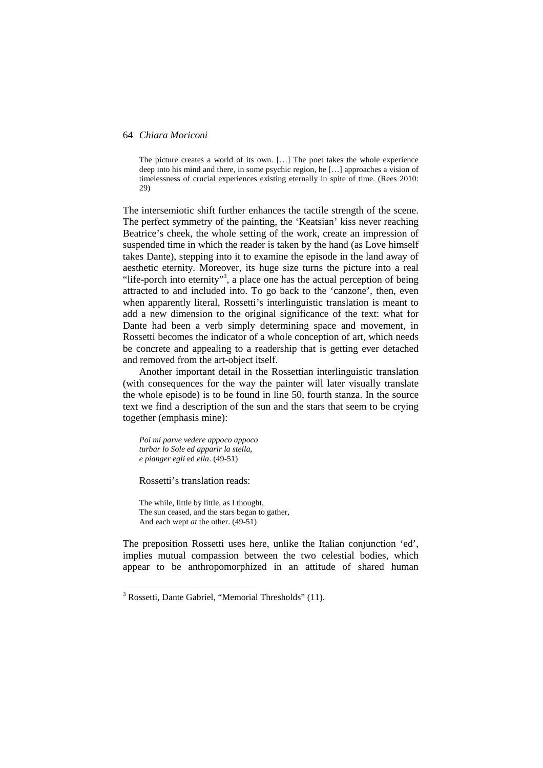The picture creates a world of its own. […] The poet takes the whole experience deep into his mind and there, in some psychic region, he […] approaches a vision of timelessness of crucial experiences existing eternally in spite of time. (Rees 2010: 29)

The intersemiotic shift further enhances the tactile strength of the scene. The perfect symmetry of the painting, the 'Keatsian' kiss never reaching Beatrice's cheek, the whole setting of the work, create an impression of suspended time in which the reader is taken by the hand (as Love himself takes Dante), stepping into it to examine the episode in the land away of aesthetic eternity. Moreover, its huge size turns the picture into a real "life-porch into eternity"<sup>3</sup>, a place one has the actual perception of being attracted to and included into. To go back to the 'canzone', then, even when apparently literal, Rossetti's interlinguistic translation is meant to add a new dimension to the original significance of the text: what for Dante had been a verb simply determining space and movement, in Rossetti becomes the indicator of a whole conception of art, which needs be concrete and appealing to a readership that is getting ever detached and removed from the art-object itself.

Another important detail in the Rossettian interlinguistic translation (with consequences for the way the painter will later visually translate the whole episode) is to be found in line 50, fourth stanza. In the source text we find a description of the sun and the stars that seem to be crying together (emphasis mine):

*Poi mi parve vedere appoco appoco turbar lo Sole ed apparir la stella, e pianger egli* ed *ella*. (49-51)

Rossetti's translation reads:

The while, little by little, as I thought, The sun ceased, and the stars began to gather, And each wept *at* the other. (49-51)

The preposition Rossetti uses here, unlike the Italian conjunction 'ed', implies mutual compassion between the two celestial bodies, which appear to be anthropomorphized in an attitude of shared human

<sup>&</sup>lt;sup>3</sup> Rossetti, Dante Gabriel, "Memorial Thresholds" (11).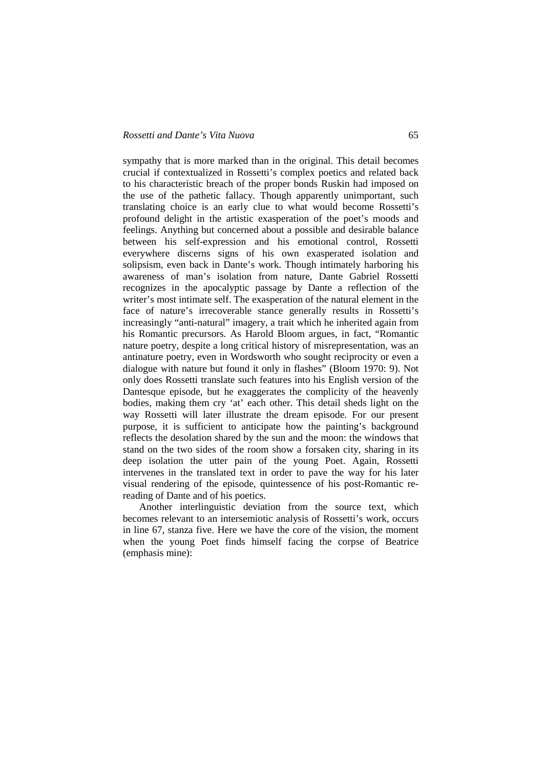sympathy that is more marked than in the original. This detail becomes crucial if contextualized in Rossetti's complex poetics and related back to his characteristic breach of the proper bonds Ruskin had imposed on the use of the pathetic fallacy. Though apparently unimportant, such translating choice is an early clue to what would become Rossetti's profound delight in the artistic exasperation of the poet's moods and feelings. Anything but concerned about a possible and desirable balance between his self-expression and his emotional control, Rossetti everywhere discerns signs of his own exasperated isolation and solipsism, even back in Dante's work. Though intimately harboring his awareness of man's isolation from nature, Dante Gabriel Rossetti recognizes in the apocalyptic passage by Dante a reflection of the writer's most intimate self. The exasperation of the natural element in the face of nature's irrecoverable stance generally results in Rossetti's increasingly "anti-natural" imagery, a trait which he inherited again from his Romantic precursors. As Harold Bloom argues, in fact, "Romantic nature poetry, despite a long critical history of misrepresentation, was an antinature poetry, even in Wordsworth who sought reciprocity or even a dialogue with nature but found it only in flashes" (Bloom 1970: 9). Not only does Rossetti translate such features into his English version of the Dantesque episode, but he exaggerates the complicity of the heavenly bodies, making them cry 'at' each other. This detail sheds light on the way Rossetti will later illustrate the dream episode. For our present purpose, it is sufficient to anticipate how the painting's background reflects the desolation shared by the sun and the moon: the windows that stand on the two sides of the room show a forsaken city, sharing in its deep isolation the utter pain of the young Poet. Again, Rossetti intervenes in the translated text in order to pave the way for his later visual rendering of the episode, quintessence of his post-Romantic rereading of Dante and of his poetics.

Another interlinguistic deviation from the source text, which becomes relevant to an intersemiotic analysis of Rossetti's work, occurs in line 67, stanza five. Here we have the core of the vision, the moment when the young Poet finds himself facing the corpse of Beatrice (emphasis mine):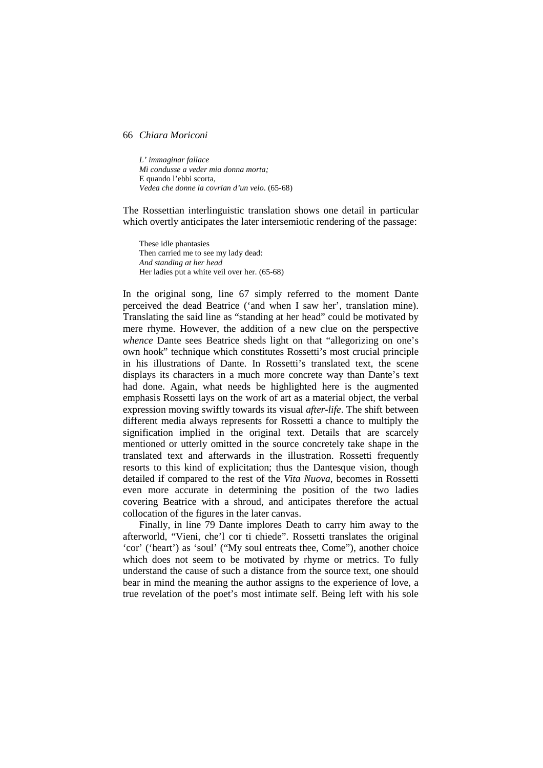*L' immaginar fallace Mi condusse a veder mia donna morta;*  E quando l'ebbi scorta, *Vedea che donne la covrian d'un velo*. (65-68)

The Rossettian interlinguistic translation shows one detail in particular which overtly anticipates the later intersemiotic rendering of the passage:

These idle phantasies Then carried me to see my lady dead: *And standing at her head*  Her ladies put a white veil over her. (65-68)

In the original song, line 67 simply referred to the moment Dante perceived the dead Beatrice ('and when I saw her', translation mine). Translating the said line as "standing at her head" could be motivated by mere rhyme. However, the addition of a new clue on the perspective *whence* Dante sees Beatrice sheds light on that "allegorizing on one's own hook" technique which constitutes Rossetti's most crucial principle in his illustrations of Dante. In Rossetti's translated text, the scene displays its characters in a much more concrete way than Dante's text had done. Again, what needs be highlighted here is the augmented emphasis Rossetti lays on the work of art as a material object, the verbal expression moving swiftly towards its visual *after-life*. The shift between different media always represents for Rossetti a chance to multiply the signification implied in the original text. Details that are scarcely mentioned or utterly omitted in the source concretely take shape in the translated text and afterwards in the illustration. Rossetti frequently resorts to this kind of explicitation; thus the Dantesque vision, though detailed if compared to the rest of the *Vita Nuova*, becomes in Rossetti even more accurate in determining the position of the two ladies covering Beatrice with a shroud, and anticipates therefore the actual collocation of the figures in the later canvas.

Finally, in line 79 Dante implores Death to carry him away to the afterworld, "Vieni, che'l cor ti chiede". Rossetti translates the original 'cor' ('heart') as 'soul' ("My soul entreats thee, Come"), another choice which does not seem to be motivated by rhyme or metrics. To fully understand the cause of such a distance from the source text, one should bear in mind the meaning the author assigns to the experience of love, a true revelation of the poet's most intimate self. Being left with his sole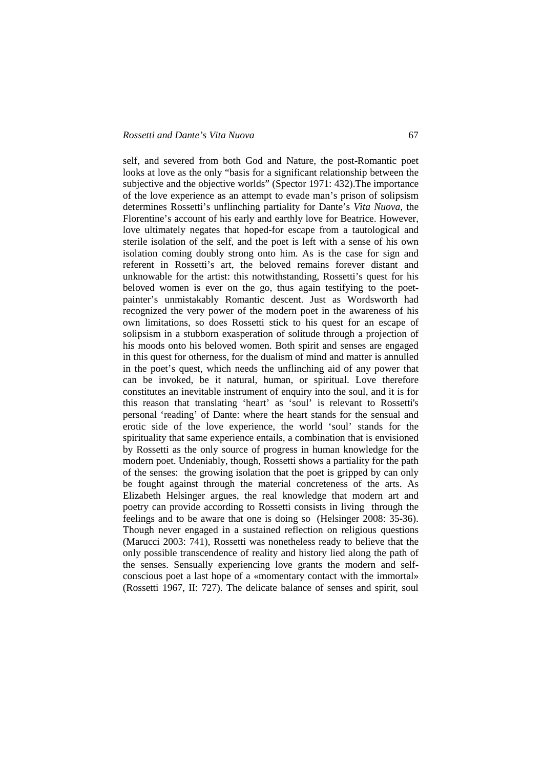### *Rossetti and Dante's Vita Nuova* 67

self, and severed from both God and Nature, the post-Romantic poet looks at love as the only "basis for a significant relationship between the subjective and the objective worlds" (Spector 1971: 432).The importance of the love experience as an attempt to evade man's prison of solipsism determines Rossetti's unflinching partiality for Dante's *Vita Nuova*, the Florentine's account of his early and earthly love for Beatrice. However, love ultimately negates that hoped-for escape from a tautological and sterile isolation of the self, and the poet is left with a sense of his own isolation coming doubly strong onto him. As is the case for sign and referent in Rossetti's art, the beloved remains forever distant and unknowable for the artist: this notwithstanding, Rossetti's quest for his beloved women is ever on the go, thus again testifying to the poetpainter's unmistakably Romantic descent. Just as Wordsworth had recognized the very power of the modern poet in the awareness of his own limitations, so does Rossetti stick to his quest for an escape of solipsism in a stubborn exasperation of solitude through a projection of his moods onto his beloved women. Both spirit and senses are engaged in this quest for otherness, for the dualism of mind and matter is annulled in the poet's quest, which needs the unflinching aid of any power that can be invoked, be it natural, human, or spiritual. Love therefore constitutes an inevitable instrument of enquiry into the soul, and it is for this reason that translating 'heart' as 'soul' is relevant to Rossetti's personal 'reading' of Dante: where the heart stands for the sensual and erotic side of the love experience, the world 'soul' stands for the spirituality that same experience entails, a combination that is envisioned by Rossetti as the only source of progress in human knowledge for the modern poet. Undeniably, though, Rossetti shows a partiality for the path of the senses: the growing isolation that the poet is gripped by can only be fought against through the material concreteness of the arts. As Elizabeth Helsinger argues, the real knowledge that modern art and poetry can provide according to Rossetti consists in living through the feelings and to be aware that one is doing so (Helsinger 2008: 35-36). Though never engaged in a sustained reflection on religious questions (Marucci 2003: 741), Rossetti was nonetheless ready to believe that the only possible transcendence of reality and history lied along the path of the senses. Sensually experiencing love grants the modern and selfconscious poet a last hope of a «momentary contact with the immortal» (Rossetti 1967, II: 727). The delicate balance of senses and spirit, soul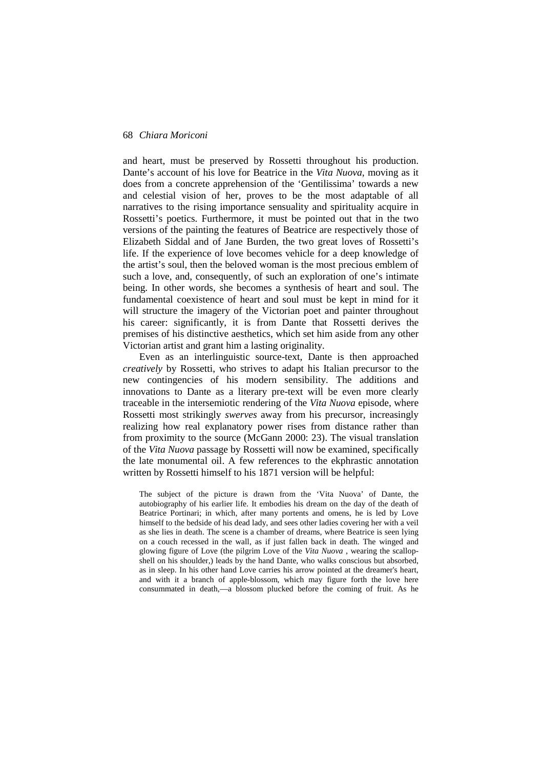and heart, must be preserved by Rossetti throughout his production. Dante's account of his love for Beatrice in the *Vita Nuova*, moving as it does from a concrete apprehension of the 'Gentilissima' towards a new and celestial vision of her, proves to be the most adaptable of all narratives to the rising importance sensuality and spirituality acquire in Rossetti's poetics. Furthermore, it must be pointed out that in the two versions of the painting the features of Beatrice are respectively those of Elizabeth Siddal and of Jane Burden, the two great loves of Rossetti's life. If the experience of love becomes vehicle for a deep knowledge of the artist's soul, then the beloved woman is the most precious emblem of such a love, and, consequently, of such an exploration of one's intimate being. In other words, she becomes a synthesis of heart and soul. The fundamental coexistence of heart and soul must be kept in mind for it will structure the imagery of the Victorian poet and painter throughout his career: significantly, it is from Dante that Rossetti derives the premises of his distinctive aesthetics, which set him aside from any other Victorian artist and grant him a lasting originality.

Even as an interlinguistic source-text, Dante is then approached *creatively* by Rossetti, who strives to adapt his Italian precursor to the new contingencies of his modern sensibility. The additions and innovations to Dante as a literary pre-text will be even more clearly traceable in the intersemiotic rendering of the *Vita Nuova* episode, where Rossetti most strikingly *swerves* away from his precursor, increasingly realizing how real explanatory power rises from distance rather than from proximity to the source (McGann 2000: 23). The visual translation of the *Vita Nuova* passage by Rossetti will now be examined, specifically the late monumental oil. A few references to the ekphrastic annotation written by Rossetti himself to his 1871 version will be helpful:

The subject of the picture is drawn from the 'Vita Nuova' of Dante, the autobiography of his earlier life. It embodies his dream on the day of the death of Beatrice Portinari; in which, after many portents and omens, he is led by Love himself to the bedside of his dead lady, and sees other ladies covering her with a veil as she lies in death. The scene is a chamber of dreams, where Beatrice is seen lying on a couch recessed in the wall, as if just fallen back in death. The winged and glowing figure of Love (the pilgrim Love of the *Vita Nuova* , wearing the scallopshell on his shoulder,) leads by the hand Dante, who walks conscious but absorbed, as in sleep. In his other hand Love carries his arrow pointed at the dreamer's heart, and with it a branch of apple-blossom, which may figure forth the love here consummated in death,—a blossom plucked before the coming of fruit. As he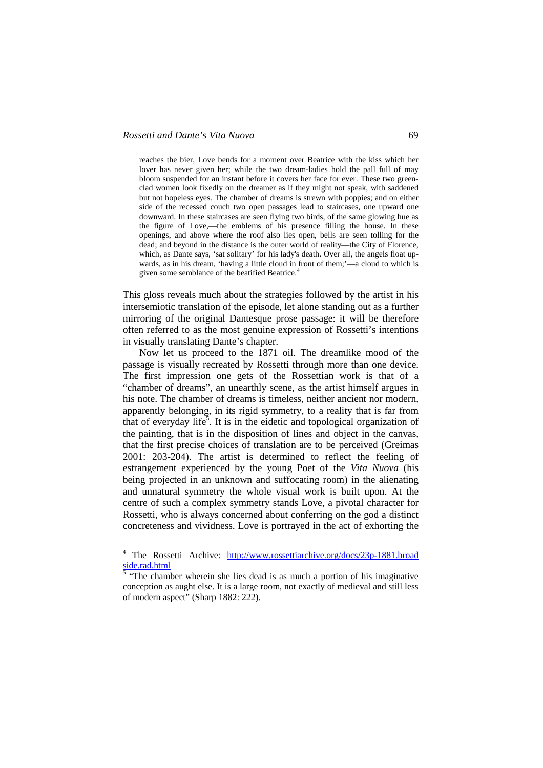reaches the bier, Love bends for a moment over Beatrice with the kiss which her lover has never given her; while the two dream-ladies hold the pall full of may bloom suspended for an instant before it covers her face for ever. These two greenclad women look fixedly on the dreamer as if they might not speak, with saddened but not hopeless eyes. The chamber of dreams is strewn with poppies; and on either side of the recessed couch two open passages lead to staircases, one upward one downward. In these staircases are seen flying two birds, of the same glowing hue as the figure of Love,—the emblems of his presence filling the house. In these openings, and above where the roof also lies open, bells are seen tolling for the dead; and beyond in the distance is the outer world of reality—the City of Florence, which, as Dante says, 'sat solitary' for his lady's death. Over all, the angels float upwards, as in his dream, 'having a little cloud in front of them;'—a cloud to which is given some semblance of the beatified Beatrice.<sup>4</sup>

This gloss reveals much about the strategies followed by the artist in his intersemiotic translation of the episode, let alone standing out as a further mirroring of the original Dantesque prose passage: it will be therefore often referred to as the most genuine expression of Rossetti's intentions in visually translating Dante's chapter.

Now let us proceed to the 1871 oil. The dreamlike mood of the passage is visually recreated by Rossetti through more than one device. The first impression one gets of the Rossettian work is that of a "chamber of dreams", an unearthly scene, as the artist himself argues in his note. The chamber of dreams is timeless, neither ancient nor modern, apparently belonging, in its rigid symmetry, to a reality that is far from that of everyday life<sup>5</sup>. It is in the eidetic and topological organization of the painting, that is in the disposition of lines and object in the canvas, that the first precise choices of translation are to be perceived (Greimas 2001: 203-204). The artist is determined to reflect the feeling of estrangement experienced by the young Poet of the *Vita Nuova* (his being projected in an unknown and suffocating room) in the alienating and unnatural symmetry the whole visual work is built upon. At the centre of such a complex symmetry stands Love, a pivotal character for Rossetti, who is always concerned about conferring on the god a distinct concreteness and vividness. Love is portrayed in the act of exhorting the

<sup>&</sup>lt;sup>4</sup> The Rossetti Archive: http://www.rossettiarchive.org/docs/23p-1881.broad side.rad.html

 $<sup>5</sup>$  "The chamber wherein she lies dead is as much a portion of his imaginative</sup> conception as aught else. It is a large room, not exactly of medieval and still less of modern aspect" (Sharp 1882: 222).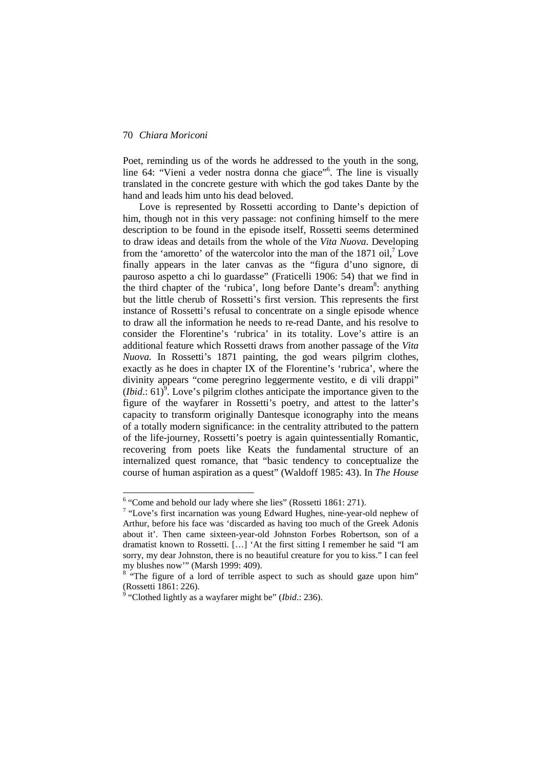Poet, reminding us of the words he addressed to the youth in the song, line 64: "Vieni a veder nostra donna che giace"<sup>6</sup> . The line is visually translated in the concrete gesture with which the god takes Dante by the hand and leads him unto his dead beloved.

Love is represented by Rossetti according to Dante's depiction of him, though not in this very passage: not confining himself to the mere description to be found in the episode itself, Rossetti seems determined to draw ideas and details from the whole of the *Vita Nuova*. Developing from the 'amoretto' of the watercolor into the man of the  $1871$  oil,<sup>7</sup> Love finally appears in the later canvas as the "figura d'uno signore, di pauroso aspetto a chi lo guardasse" (Fraticelli 1906: 54) that we find in the third chapter of the 'rubica', long before Dante's dream<sup>8</sup>: anything but the little cherub of Rossetti's first version. This represents the first instance of Rossetti's refusal to concentrate on a single episode whence to draw all the information he needs to re-read Dante, and his resolve to consider the Florentine's 'rubrica' in its totality. Love's attire is an additional feature which Rossetti draws from another passage of the *Vita Nuova.* In Rossetti's 1871 painting, the god wears pilgrim clothes, exactly as he does in chapter IX of the Florentine's 'rubrica', where the divinity appears "come peregrino leggermente vestito, e di vili drappi"  $(Ibid.: 61)<sup>9</sup>$ . Love's pilgrim clothes anticipate the importance given to the figure of the wayfarer in Rossetti's poetry, and attest to the latter's capacity to transform originally Dantesque iconography into the means of a totally modern significance: in the centrality attributed to the pattern of the life-journey, Rossetti's poetry is again quintessentially Romantic, recovering from poets like Keats the fundamental structure of an internalized quest romance, that "basic tendency to conceptualize the course of human aspiration as a quest" (Waldoff 1985: 43). In *The House* 

<sup>&</sup>lt;sup>6</sup> "Come and behold our lady where she lies" (Rossetti 1861: 271).

 $7$  "Love's first incarnation was young Edward Hughes, nine-year-old nephew of Arthur, before his face was 'discarded as having too much of the Greek Adonis about it'. Then came sixteen-year-old Johnston Forbes Robertson, son of a dramatist known to Rossetti. […] 'At the first sitting I remember he said "I am sorry, my dear Johnston, there is no beautiful creature for you to kiss." I can feel my blushes now'" (Marsh 1999: 409).

<sup>&</sup>lt;sup>8</sup> "The figure of a lord of terrible aspect to such as should gaze upon him" (Rossetti 1861: 226).

<sup>9</sup> "Clothed lightly as a wayfarer might be" (*Ibid*.: 236).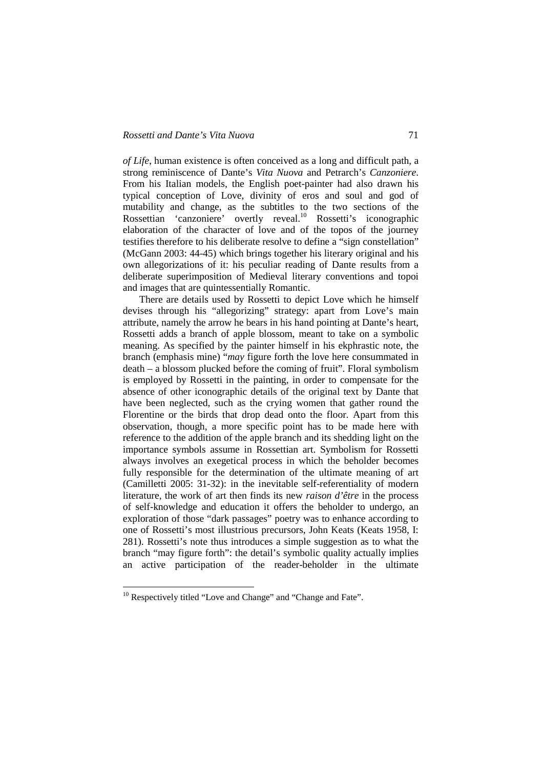*of Life*, human existence is often conceived as a long and difficult path, a strong reminiscence of Dante's *Vita Nuova* and Petrarch's *Canzoniere*. From his Italian models, the English poet-painter had also drawn his typical conception of Love, divinity of eros and soul and god of mutability and change, as the subtitles to the two sections of the Rossettian 'canzoniere' overtly reveal.<sup>10</sup> Rossetti's iconographic elaboration of the character of love and of the topos of the journey testifies therefore to his deliberate resolve to define a "sign constellation" (McGann 2003: 44-45) which brings together his literary original and his own allegorizations of it: his peculiar reading of Dante results from a deliberate superimposition of Medieval literary conventions and topoi and images that are quintessentially Romantic.

There are details used by Rossetti to depict Love which he himself devises through his "allegorizing" strategy: apart from Love's main attribute, namely the arrow he bears in his hand pointing at Dante's heart, Rossetti adds a branch of apple blossom, meant to take on a symbolic meaning. As specified by the painter himself in his ekphrastic note, the branch (emphasis mine) "*may* figure forth the love here consummated in death – a blossom plucked before the coming of fruit". Floral symbolism is employed by Rossetti in the painting, in order to compensate for the absence of other iconographic details of the original text by Dante that have been neglected, such as the crying women that gather round the Florentine or the birds that drop dead onto the floor. Apart from this observation, though, a more specific point has to be made here with reference to the addition of the apple branch and its shedding light on the importance symbols assume in Rossettian art. Symbolism for Rossetti always involves an exegetical process in which the beholder becomes fully responsible for the determination of the ultimate meaning of art (Camilletti 2005: 31-32): in the inevitable self-referentiality of modern literature, the work of art then finds its new *raison d'être* in the process of self-knowledge and education it offers the beholder to undergo, an exploration of those "dark passages" poetry was to enhance according to one of Rossetti's most illustrious precursors, John Keats (Keats 1958, I: 281). Rossetti's note thus introduces a simple suggestion as to what the branch "may figure forth": the detail's symbolic quality actually implies an active participation of the reader-beholder in the ultimate

 $\overline{a}$ 

 $10$  Respectively titled "Love and Change" and "Change and Fate".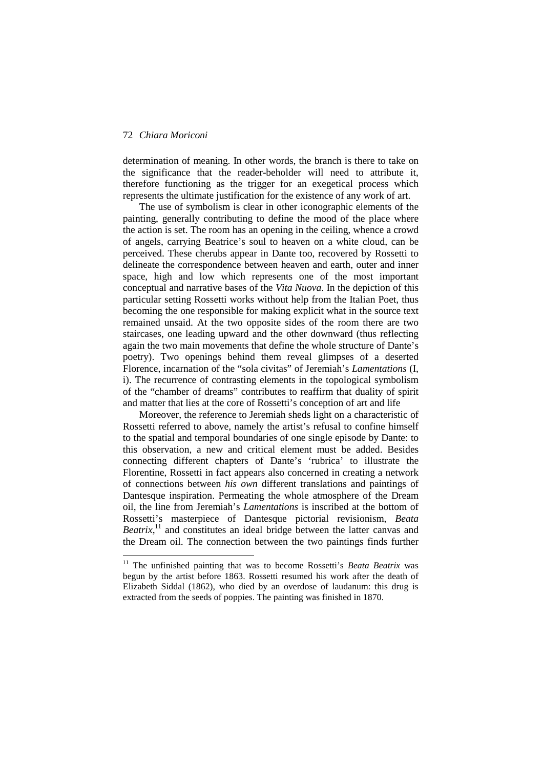$\overline{a}$ 

determination of meaning. In other words, the branch is there to take on the significance that the reader-beholder will need to attribute it, therefore functioning as the trigger for an exegetical process which represents the ultimate justification for the existence of any work of art.

The use of symbolism is clear in other iconographic elements of the painting, generally contributing to define the mood of the place where the action is set. The room has an opening in the ceiling, whence a crowd of angels, carrying Beatrice's soul to heaven on a white cloud, can be perceived. These cherubs appear in Dante too, recovered by Rossetti to delineate the correspondence between heaven and earth, outer and inner space, high and low which represents one of the most important conceptual and narrative bases of the *Vita Nuova*. In the depiction of this particular setting Rossetti works without help from the Italian Poet, thus becoming the one responsible for making explicit what in the source text remained unsaid. At the two opposite sides of the room there are two staircases, one leading upward and the other downward (thus reflecting again the two main movements that define the whole structure of Dante's poetry). Two openings behind them reveal glimpses of a deserted Florence, incarnation of the "sola civitas" of Jeremiah's *Lamentations* (I, i). The recurrence of contrasting elements in the topological symbolism of the "chamber of dreams" contributes to reaffirm that duality of spirit and matter that lies at the core of Rossetti's conception of art and life

Moreover, the reference to Jeremiah sheds light on a characteristic of Rossetti referred to above, namely the artist's refusal to confine himself to the spatial and temporal boundaries of one single episode by Dante: to this observation, a new and critical element must be added. Besides connecting different chapters of Dante's 'rubrica' to illustrate the Florentine, Rossetti in fact appears also concerned in creating a network of connections between *his own* different translations and paintings of Dantesque inspiration. Permeating the whole atmosphere of the Dream oil, the line from Jeremiah's *Lamentations* is inscribed at the bottom of Rossetti's masterpiece of Dantesque pictorial revisionism, *Beata*  Beatrix,<sup>11</sup> and constitutes an ideal bridge between the latter canvas and the Dream oil. The connection between the two paintings finds further

<sup>&</sup>lt;sup>11</sup> The unfinished painting that was to become Rossetti's *Beata Beatrix* was begun by the artist before 1863. Rossetti resumed his work after the death of Elizabeth Siddal (1862), who died by an overdose of laudanum: this drug is extracted from the seeds of poppies. The painting was finished in 1870.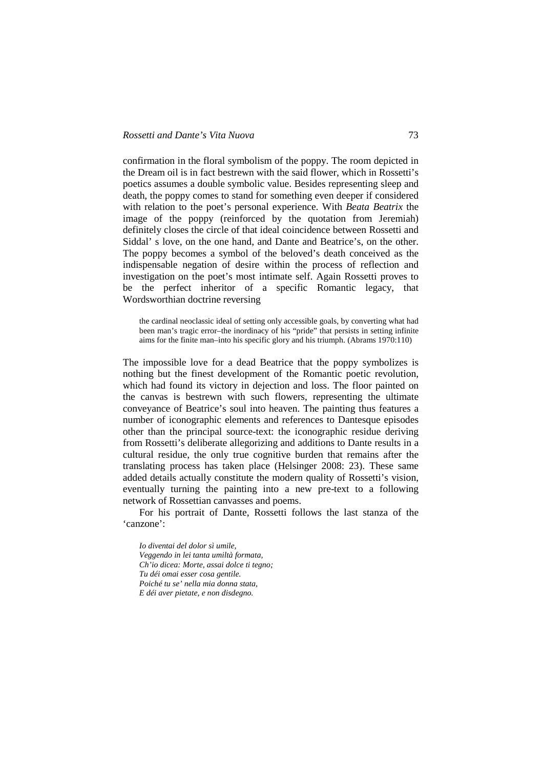confirmation in the floral symbolism of the poppy. The room depicted in the Dream oil is in fact bestrewn with the said flower, which in Rossetti's poetics assumes a double symbolic value. Besides representing sleep and death, the poppy comes to stand for something even deeper if considered with relation to the poet's personal experience. With *Beata Beatrix* the image of the poppy (reinforced by the quotation from Jeremiah) definitely closes the circle of that ideal coincidence between Rossetti and Siddal' s love, on the one hand, and Dante and Beatrice's, on the other. The poppy becomes a symbol of the beloved's death conceived as the indispensable negation of desire within the process of reflection and investigation on the poet's most intimate self. Again Rossetti proves to be the perfect inheritor of a specific Romantic legacy, that Wordsworthian doctrine reversing

the cardinal neoclassic ideal of setting only accessible goals, by converting what had been man's tragic error–the inordinacy of his "pride" that persists in setting infinite aims for the finite man–into his specific glory and his triumph. (Abrams 1970:110)

The impossible love for a dead Beatrice that the poppy symbolizes is nothing but the finest development of the Romantic poetic revolution, which had found its victory in dejection and loss. The floor painted on the canvas is bestrewn with such flowers, representing the ultimate conveyance of Beatrice's soul into heaven. The painting thus features a number of iconographic elements and references to Dantesque episodes other than the principal source-text: the iconographic residue deriving from Rossetti's deliberate allegorizing and additions to Dante results in a cultural residue, the only true cognitive burden that remains after the translating process has taken place (Helsinger 2008: 23). These same added details actually constitute the modern quality of Rossetti's vision, eventually turning the painting into a new pre-text to a following network of Rossettian canvasses and poems.

For his portrait of Dante, Rossetti follows the last stanza of the 'canzone':

*Io diventai del dolor sì umile, Veggendo in lei tanta umiltà formata, Ch'io dicea: Morte, assai dolce ti tegno; Tu déi omai esser cosa gentile. Poiché tu se' nella mia donna stata, E déi aver pietate, e non disdegno.*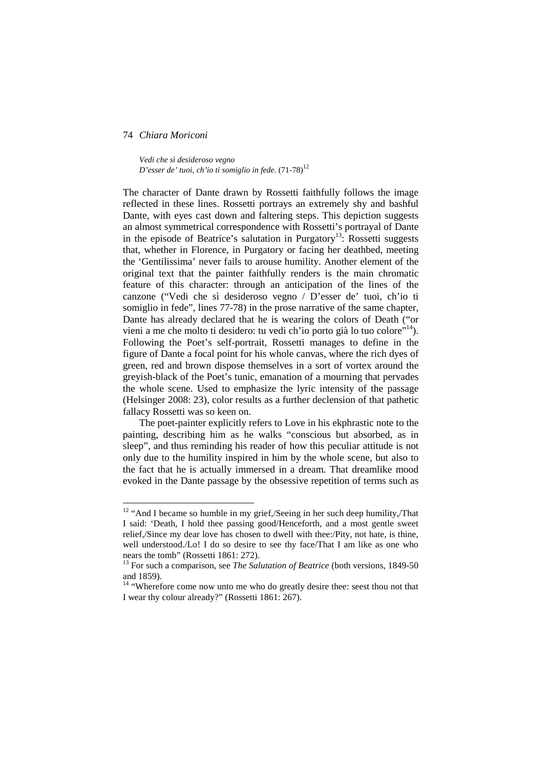$\overline{a}$ 

*Vedi che sì desideroso vegno D'esser de' tuoi, ch'io ti somiglio in fede.* (71-78)<sup>12</sup>

The character of Dante drawn by Rossetti faithfully follows the image reflected in these lines. Rossetti portrays an extremely shy and bashful Dante, with eyes cast down and faltering steps. This depiction suggests an almost symmetrical correspondence with Rossetti's portrayal of Dante in the episode of Beatrice's salutation in Purgatory<sup>13</sup>: Rossetti suggests that, whether in Florence, in Purgatory or facing her deathbed, meeting the 'Gentilissima' never fails to arouse humility. Another element of the original text that the painter faithfully renders is the main chromatic feature of this character: through an anticipation of the lines of the canzone ("Vedi che sì desideroso vegno / D'esser de' tuoi, ch'io ti somiglio in fede", lines 77-78) in the prose narrative of the same chapter, Dante has already declared that he is wearing the colors of Death ("or vieni a me che molto ti desidero: tu vedi ch'io porto già lo tuo colore"<sup>14</sup>). Following the Poet's self-portrait, Rossetti manages to define in the figure of Dante a focal point for his whole canvas, where the rich dyes of green, red and brown dispose themselves in a sort of vortex around the greyish-black of the Poet's tunic, emanation of a mourning that pervades the whole scene. Used to emphasize the lyric intensity of the passage (Helsinger 2008: 23), color results as a further declension of that pathetic fallacy Rossetti was so keen on.

The poet-painter explicitly refers to Love in his ekphrastic note to the painting, describing him as he walks "conscious but absorbed, as in sleep", and thus reminding his reader of how this peculiar attitude is not only due to the humility inspired in him by the whole scene, but also to the fact that he is actually immersed in a dream. That dreamlike mood evoked in the Dante passage by the obsessive repetition of terms such as

 $12$  "And I became so humble in my grief,/Seeing in her such deep humility,/That I said: 'Death, I hold thee passing good/Henceforth, and a most gentle sweet relief,/Since my dear love has chosen to dwell with thee:/Pity, not hate, is thine, well understood./Lo! I do so desire to see thy face/That I am like as one who nears the tomb" (Rossetti 1861: 272).

<sup>&</sup>lt;sup>13</sup> For such a comparison, see *The Salutation of Beatrice* (both versions, 1849-50 and 1859).

<sup>&</sup>lt;sup>14</sup> "Wherefore come now unto me who do greatly desire thee: seest thou not that I wear thy colour already?" (Rossetti 1861: 267).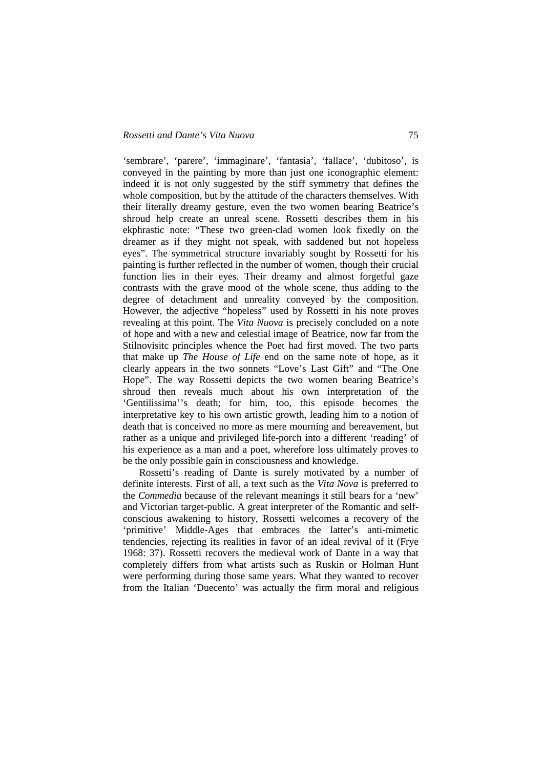'sembrare', 'parere', 'immaginare', 'fantasia', 'fallace', 'dubitoso', is conveyed in the painting by more than just one iconographic element: indeed it is not only suggested by the stiff symmetry that defines the whole composition, but by the attitude of the characters themselves. With their literally dreamy gesture, even the two women bearing Beatrice's shroud help create an unreal scene. Rossetti describes them in his ekphrastic note: "These two green-clad women look fixedly on the dreamer as if they might not speak, with saddened but not hopeless eyes". The symmetrical structure invariably sought by Rossetti for his painting is further reflected in the number of women, though their crucial function lies in their eyes. Their dreamy and almost forgetful gaze contrasts with the grave mood of the whole scene, thus adding to the degree of detachment and unreality conveyed by the composition. However, the adjective "hopeless" used by Rossetti in his note proves revealing at this point. The *Vita Nuova* is precisely concluded on a note of hope and with a new and celestial image of Beatrice, now far from the Stilnovisitc principles whence the Poet had first moved. The two parts that make up *The House of Life* end on the same note of hope, as it clearly appears in the two sonnets "Love's Last Gift" and "The One Hope". The way Rossetti depicts the two women bearing Beatrice's shroud then reveals much about his own interpretation of the 'Gentilissima''s death; for him, too, this episode becomes the interpretative key to his own artistic growth, leading him to a notion of death that is conceived no more as mere mourning and bereavement, but rather as a unique and privileged life-porch into a different 'reading' of his experience as a man and a poet, wherefore loss ultimately proves to be the only possible gain in consciousness and knowledge.

Rossetti's reading of Dante is surely motivated by a number of definite interests. First of all, a text such as the *Vita Nova* is preferred to the *Commedia* because of the relevant meanings it still bears for a 'new' and Victorian target-public. A great interpreter of the Romantic and selfconscious awakening to history, Rossetti welcomes a recovery of the 'primitive' Middle-Ages that embraces the latter's anti-mimetic tendencies, rejecting its realities in favor of an ideal revival of it (Frye 1968: 37). Rossetti recovers the medieval work of Dante in a way that completely differs from what artists such as Ruskin or Holman Hunt were performing during those same years. What they wanted to recover from the Italian 'Duecento' was actually the firm moral and religious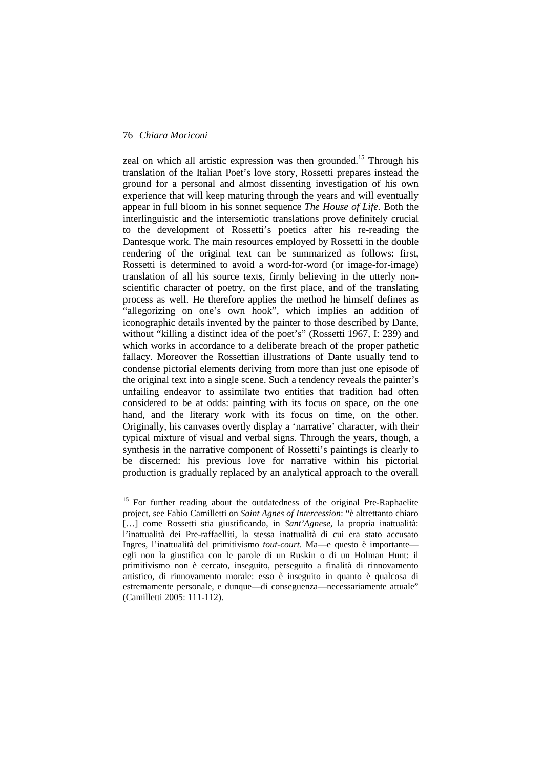$\overline{a}$ 

zeal on which all artistic expression was then grounded.<sup>15</sup> Through his translation of the Italian Poet's love story, Rossetti prepares instead the ground for a personal and almost dissenting investigation of his own experience that will keep maturing through the years and will eventually appear in full bloom in his sonnet sequence *The House of Life.* Both the interlinguistic and the intersemiotic translations prove definitely crucial to the development of Rossetti's poetics after his re-reading the Dantesque work. The main resources employed by Rossetti in the double rendering of the original text can be summarized as follows: first, Rossetti is determined to avoid a word-for-word (or image-for-image) translation of all his source texts, firmly believing in the utterly nonscientific character of poetry, on the first place, and of the translating process as well. He therefore applies the method he himself defines as "allegorizing on one's own hook", which implies an addition of iconographic details invented by the painter to those described by Dante, without "killing a distinct idea of the poet's" (Rossetti 1967, I: 239) and which works in accordance to a deliberate breach of the proper pathetic fallacy. Moreover the Rossettian illustrations of Dante usually tend to condense pictorial elements deriving from more than just one episode of the original text into a single scene. Such a tendency reveals the painter's unfailing endeavor to assimilate two entities that tradition had often considered to be at odds: painting with its focus on space, on the one hand, and the literary work with its focus on time, on the other. Originally, his canvases overtly display a 'narrative' character, with their typical mixture of visual and verbal signs. Through the years, though, a synthesis in the narrative component of Rossetti's paintings is clearly to be discerned: his previous love for narrative within his pictorial production is gradually replaced by an analytical approach to the overall

<sup>&</sup>lt;sup>15</sup> For further reading about the outdatedness of the original Pre-Raphaelite project, see Fabio Camilletti on *Saint Agnes of Intercession*: "è altrettanto chiaro […] come Rossetti stia giustificando, in *Sant'Agnese*, la propria inattualità: l'inattualità dei Pre-raffaelliti, la stessa inattualità di cui era stato accusato Ingres, l'inattualità del primitivismo *tout-court*. Ma—e questo è importante egli non la giustifica con le parole di un Ruskin o di un Holman Hunt: il primitivismo non è cercato, inseguito, perseguito a finalità di rinnovamento artistico, di rinnovamento morale: esso è inseguito in quanto è qualcosa di estremamente personale, e dunque—di conseguenza—necessariamente attuale" (Camilletti 2005: 111-112).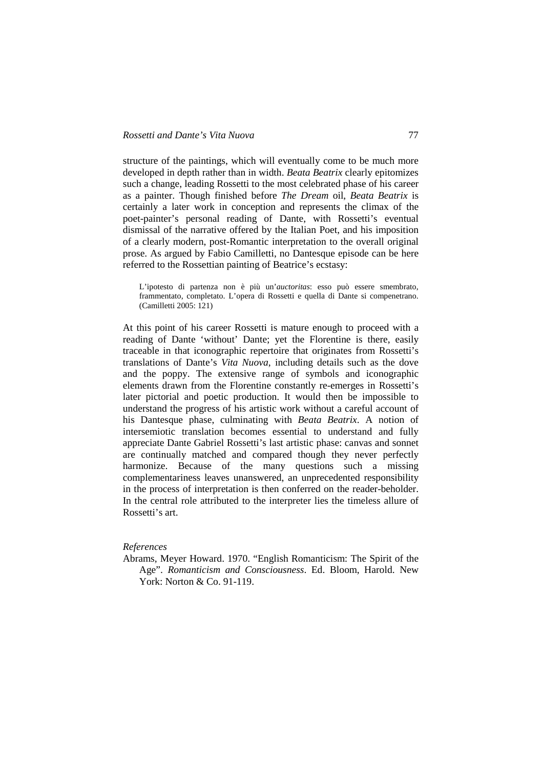structure of the paintings, which will eventually come to be much more developed in depth rather than in width. *Beata Beatrix* clearly epitomizes such a change, leading Rossetti to the most celebrated phase of his career as a painter. Though finished before *The Dream* oil, *Beata Beatrix* is certainly a later work in conception and represents the climax of the poet-painter's personal reading of Dante, with Rossetti's eventual dismissal of the narrative offered by the Italian Poet, and his imposition of a clearly modern, post-Romantic interpretation to the overall original prose. As argued by Fabio Camilletti, no Dantesque episode can be here referred to the Rossettian painting of Beatrice's ecstasy:

L'ipotesto di partenza non è più un'*auctoritas*: esso può essere smembrato, frammentato, completato. L'opera di Rossetti e quella di Dante si compenetrano. (Camilletti 2005: 121)

At this point of his career Rossetti is mature enough to proceed with a reading of Dante 'without' Dante; yet the Florentine is there, easily traceable in that iconographic repertoire that originates from Rossetti's translations of Dante's *Vita Nuova*, including details such as the dove and the poppy. The extensive range of symbols and iconographic elements drawn from the Florentine constantly re-emerges in Rossetti's later pictorial and poetic production. It would then be impossible to understand the progress of his artistic work without a careful account of his Dantesque phase, culminating with *Beata Beatrix*. A notion of intersemiotic translation becomes essential to understand and fully appreciate Dante Gabriel Rossetti's last artistic phase: canvas and sonnet are continually matched and compared though they never perfectly harmonize. Because of the many questions such a missing complementariness leaves unanswered, an unprecedented responsibility in the process of interpretation is then conferred on the reader-beholder. In the central role attributed to the interpreter lies the timeless allure of Rossetti's art.

## *References*

Abrams, Meyer Howard. 1970. "English Romanticism: The Spirit of the Age". *Romanticism and Consciousness*. Ed. Bloom, Harold. New York: Norton & Co. 91-119.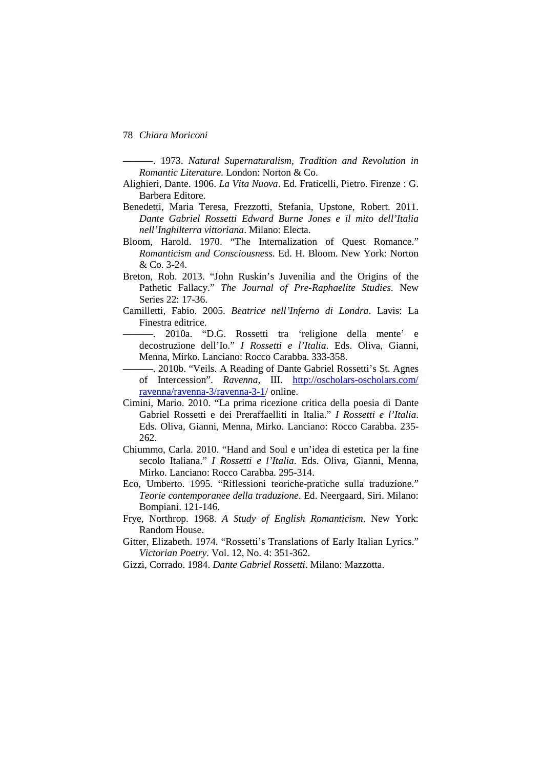———. 1973. *Natural Supernaturalism, Tradition and Revolution in Romantic Literature.* London: Norton & Co.

- Alighieri, Dante. 1906. *La Vita Nuova*. Ed. Fraticelli, Pietro. Firenze : G. Barbera Editore.
- Benedetti, Maria Teresa, Frezzotti, Stefania, Upstone, Robert. 2011. *Dante Gabriel Rossetti Edward Burne Jones e il mito dell'Italia nell'Inghilterra vittoriana*. Milano: Electa.
- Bloom, Harold. 1970. "The Internalization of Quest Romance." *Romanticism and Consciousness*. Ed. H. Bloom. New York: Norton & Co. 3-24.
- Breton, Rob. 2013. "John Ruskin's Juvenilia and the Origins of the Pathetic Fallacy." *The Journal of Pre-Raphaelite Studies*. New Series 22: 17-36.
- Camilletti, Fabio. 2005. *Beatrice nell'Inferno di Londra*. Lavis: La Finestra editrice.
	- ———. 2010a. "D.G. Rossetti tra 'religione della mente' e decostruzione dell'Io." *I Rossetti e l'Italia*. Eds. Oliva, Gianni, Menna, Mirko. Lanciano: Rocco Carabba. 333-358.
- ———. 2010b. "Veils. A Reading of Dante Gabriel Rossetti's St. Agnes of Intercession". *Ravenna*, III. http://oscholars-oscholars.com/ ravenna/ravenna-3/ravenna-3-1/ online.
- Cimini, Mario. 2010. "La prima ricezione critica della poesia di Dante Gabriel Rossetti e dei Preraffaelliti in Italia." *I Rossetti e l'Italia*. Eds. Oliva, Gianni, Menna, Mirko. Lanciano: Rocco Carabba. 235- 262.
- Chiummo, Carla. 2010. "Hand and Soul e un'idea di estetica per la fine secolo Italiana." *I Rossetti e l'Italia*. Eds. Oliva, Gianni, Menna, Mirko. Lanciano: Rocco Carabba. 295-314.
- Eco, Umberto. 1995. "Riflessioni teoriche-pratiche sulla traduzione." *Teorie contemporanee della traduzione*. Ed. Neergaard, Siri. Milano: Bompiani. 121-146.
- Frye, Northrop. 1968. *A Study of English Romanticism*. New York: Random House.
- Gitter, Elizabeth. 1974. "Rossetti's Translations of Early Italian Lyrics." *Victorian Poetry*. Vol. 12, No. 4: 351-362.
- Gizzi, Corrado. 1984. *Dante Gabriel Rossetti*. Milano: Mazzotta.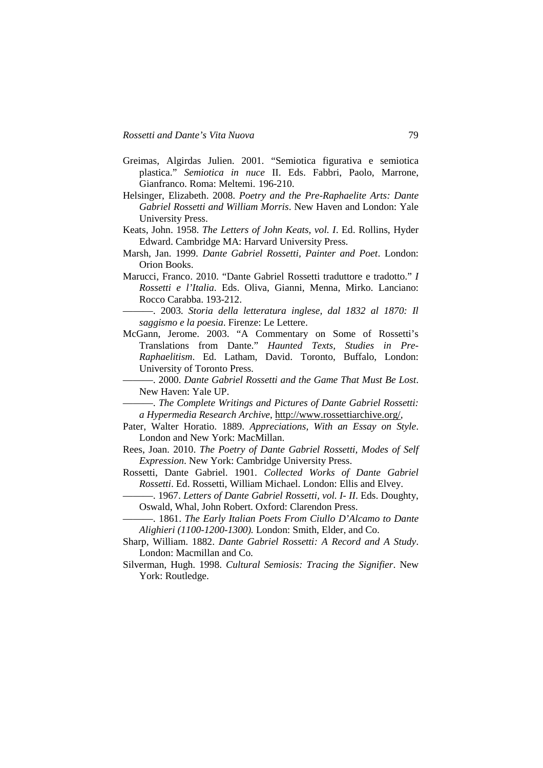- Greimas, Algirdas Julien. 2001. "Semiotica figurativa e semiotica plastica." *Semiotica in nuce* II. Eds. Fabbri, Paolo, Marrone, Gianfranco. Roma: Meltemi. 196-210.
- Helsinger, Elizabeth. 2008. *Poetry and the Pre-Raphaelite Arts: Dante Gabriel Rossetti and William Morris*. New Haven and London: Yale University Press.
- Keats, John. 1958. *The Letters of John Keats, vol. I*. Ed. Rollins, Hyder Edward. Cambridge MA: Harvard University Press.
- Marsh, Jan. 1999. *Dante Gabriel Rossetti, Painter and Poet*. London: Orion Books.
- Marucci, Franco. 2010. "Dante Gabriel Rossetti traduttore e tradotto." *I Rossetti e l'Italia*. Eds. Oliva, Gianni, Menna, Mirko. Lanciano: Rocco Carabba. 193-212.
- ———. 2003. *Storia della letteratura inglese, dal 1832 al 1870: Il saggismo e la poesia*. Firenze: Le Lettere.
- McGann, Jerome. 2003. "A Commentary on Some of Rossetti's Translations from Dante." *Haunted Texts, Studies in Pre-Raphaelitism*. Ed. Latham, David. Toronto, Buffalo, London: University of Toronto Press.
	- ———. 2000. *Dante Gabriel Rossetti and the Game That Must Be Lost*. New Haven: Yale UP.

———. *The Complete Writings and Pictures of Dante Gabriel Rossetti: a Hypermedia Research Archive*, http://www.rossettiarchive.org/,

- Pater, Walter Horatio. 1889. *Appreciations, With an Essay on Style*. London and New York: MacMillan.
- Rees, Joan. 2010. *The Poetry of Dante Gabriel Rossetti, Modes of Self Expression*. New York: Cambridge University Press.
- Rossetti, Dante Gabriel. 1901. *Collected Works of Dante Gabriel Rossetti*. Ed. Rossetti, William Michael. London: Ellis and Elvey.
	- ———. 1967. *Letters of Dante Gabriel Rossetti, vol. I- II*. Eds. Doughty, Oswald, Whal, John Robert. Oxford: Clarendon Press.
	- ———. 1861. *The Early Italian Poets From Ciullo D'Alcamo to Dante Alighieri (1100-1200-1300).* London: Smith, Elder, and Co.
- Sharp, William. 1882. *Dante Gabriel Rossetti: A Record and A Study*. London: Macmillan and Co.
- Silverman, Hugh. 1998. *Cultural Semiosis: Tracing the Signifier*. New York: Routledge.